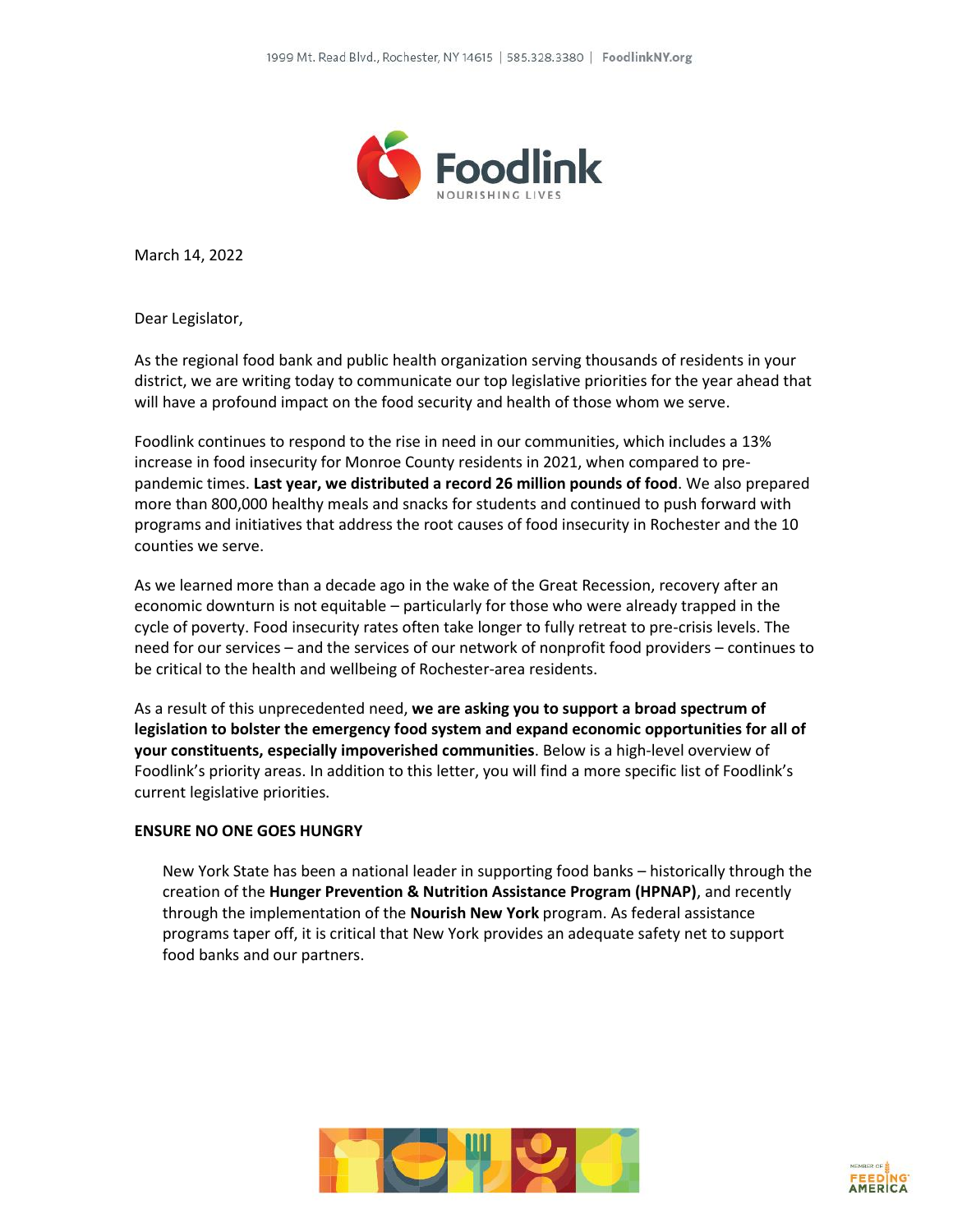

March 14, 2022

Dear Legislator,

As the regional food bank and public health organization serving thousands of residents in your district, we are writing today to communicate our top legislative priorities for the year ahead that will have a profound impact on the food security and health of those whom we serve.

Foodlink continues to respond to the rise in need in our communities, which includes a 13% increase in food insecurity for Monroe County residents in 2021, when compared to prepandemic times. **Last year, we distributed a record 26 million pounds of food**. We also prepared more than 800,000 healthy meals and snacks for students and continued to push forward with programs and initiatives that address the root causes of food insecurity in Rochester and the 10 counties we serve.

As we learned more than a decade ago in the wake of the Great Recession, recovery after an economic downturn is not equitable – particularly for those who were already trapped in the cycle of poverty. Food insecurity rates often take longer to fully retreat to pre-crisis levels. The need for our services – and the services of our network of nonprofit food providers – continues to be critical to the health and wellbeing of Rochester-area residents.

As a result of this unprecedented need, **we are asking you to support a broad spectrum of legislation to bolster the emergency food system and expand economic opportunities for all of your constituents, especially impoverished communities**. Below is a high-level overview of Foodlink's priority areas. In addition to this letter, you will find a more specific list of Foodlink's current legislative priorities.

## **ENSURE NO ONE GOES HUNGRY**

New York State has been a national leader in supporting food banks – historically through the creation of the **Hunger Prevention & Nutrition Assistance Program (HPNAP)**, and recently through the implementation of the **Nourish New York** program. As federal assistance programs taper off, it is critical that New York provides an adequate safety net to support food banks and our partners.